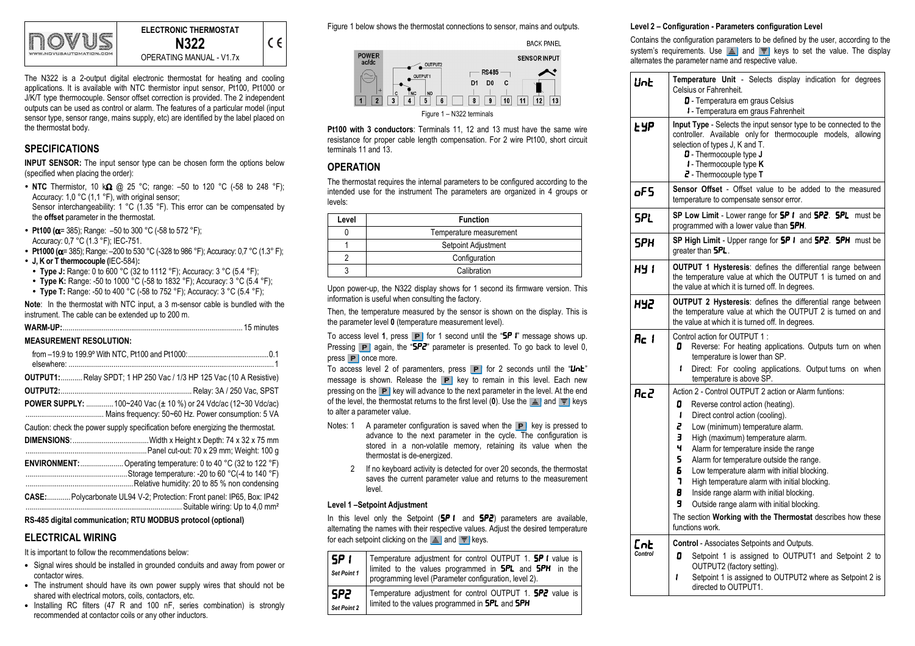

| ELECTRONIC THERMOSTAT    |  |
|--------------------------|--|
| N322                     |  |
| OPERATING MANUAL - V1.7x |  |

The N322 is a 2-output digital electronic thermostat for heating and cooling applications. It is available with NTC thermistor input sensor, Pt100, Pt1000 or J/K/T type thermocouple. Sensor offset correction is provided. The 2 independent outputs can be used as control or alarm. The features of a particular model (input sensor type, sensor range, mains supply, etc) are identified by the label placed on the thermostat body.

# SPECIFICATIONS

INPUT SENSOR: The input sensor type can be chosen form the options below (specified when placing the order):

- NTC Thermistor, 10 k $\Omega$  @ 25 °C; range: –50 to 120 °C (-58 to 248 °F);<br>Assument 1.0 °C (1.1 °F) with exiginal expects Accuracy: 1.0 °C (1.1 °F), with original sensor: Sensor interchangeability: 1 °C (1.35 °F). This error can be compensated by the offset parameter in the thermostat.
- Pt100 ( $\alpha$ = 385); Range: -50 to 300 °C (-58 to 572 °F); Accuracy: 0,7 °C (1.3 °F); IEC-751.
- Pt1000 ( $\alpha$ = 385); Range: -200 to 530 °C (-328 to 986 °F); Accuracy: 0,7 °C (1.3° F);
- J, K or T thermocouple (IEC-584):
- Type J: Range: 0 to 600 °C (32 to 1112 °F); Accuracy: 3 °C (5.4 °F);
- Type K: Range: -50 to 1000 °C (-58 to 1832 °F); Accuracy: 3 °C (5.4 °F);
- Type T: Range: -50 to 400 °C (-58 to 752 °F); Accuracy: 3 °C (5.4 °F);

Note: In the thermostat with NTC input, a 3 m-sensor cable is bundled with the instrument. The cable can be extended up to 200 m.

#### MEASUREMENT RESOLUTION:

| elsewhere:   |                                                                                                                                                                         |
|--------------|-------------------------------------------------------------------------------------------------------------------------------------------------------------------------|
|              | OUTPUT1:  Relay SPDT; 1 HP 250 Vac / 1/3 HP 125 Vac (10 A Resistive)                                                                                                    |
| OUTPUT2:     |                                                                                                                                                                         |
|              | <b>POWER SUPPLY:</b> 100~240 Vac ( $\pm$ 10 %) or 24 Vdc/ac (12~30 Vdc/ac)                                                                                              |
|              | Caution: check the power supply specification before energizing the thermostat.                                                                                         |
|              |                                                                                                                                                                         |
|              | <b>ENVIRONMENT:</b> Operating temperature: 0 to 40 °C (32 to 122 °F)<br>Storage temperature: -20 to 60 °C(-4 to 140 °F)<br>Relative humidity: 20 to 85 % non condensing |
| <b>CASE:</b> | Polycarbonate UL94 V-2; Protection: Front panel: IP65, Box: IP42<br>Suitable wiring: Up to 4.0 mm <sup>2</sup>                                                          |

RS-485 digital communication; RTU MODBUS protocol (optional)

## ELECTRICAL WIRING

It is important to follow the recommendations below:

- Signal wires should be installed in grounded conduits and away from power or contactor wires.
- The instrument should have its own power supply wires that should not be shared with electrical motors, coils, contactors, etc.
- Installing RC filters (47 R and 100 nF, series combination) is strongly recommended at contactor coils or any other inductors.

Figure 1 below shows the thermostat connections to sensor, mains and outputs.



Pt100 with 3 conductors: Terminals 11, 12 and 13 must have the same wire resistance for proper cable length compensation. For 2 wire Pt100, short circuit terminals 11 and 13.

## **OPERATION**

The thermostat requires the internal parameters to be configured according to the intended use for the instrument The parameters are organized in 4 groups or levels:

| Level | <b>Function</b>         |
|-------|-------------------------|
|       | Temperature measurement |
|       | Setpoint Adjustment     |
|       | Configuration           |
|       | Calibration             |

Upon power-up, the N322 display shows for 1 second its firmware version. This information is useful when consulting the factory.

Then, the temperature measured by the sensor is shown on the display. This is the parameter level 0 (temperature measurement level).

To access level 1, press  $\boxed{\mathbf{P}}$  for 1 second until the "SP  $\ddot{\mathbf{r}}$ " message shows up. Pressing P again, the "SP2" parameter is presented. To go back to level 0,  $pres \t{P}$  once more.

To access level 2 of paramenters, press  $\boxed{\text{P}}$  for 2 seconds until the "UnE" message is shown. Release the  $\boxed{\mathbf{P}}$  key to remain in this level. Each new pressing on the **P** key will advance to the next parameter in the level. At the end of the level, the thermostat returns to the first level (0). Use the  $\triangleq$  and  $\overline{F}$  keys to alter a parameter value.

- Notes: 1 A parameter configuration is saved when the  $\mathbf{P}$  key is pressed to advance to the next parameter in the cycle. The configuration is stored in a non-volatile memory, retaining its value when the thermostat is de-energized.
	- 2 If no keyboard activity is detected for over 20 seconds, the thermostat saves the current parameter value and returns to the measurement level.

## Level 1 –Setpoint Adjustment

In this level only the Setpoint  $(5P \cdot 1)$  and  $5P\cdot 2$  parameters are available. alternating the names with their respective values. Adjust the desired temperature for each setpoint clicking on the  $\triangle$  and  $\overline{\overline{\overline{}}\overline{\phantom{}}\phantom{}}\,$  keys.

| ' SP I<br>Set Point 1 | Temperature adjustment for control OUTPUT 1. <b>SP I</b> value is<br>limited to the values programmed in <b>SPL</b> and <b>SPH</b> in the<br>programming level (Parameter configuration, level 2). |
|-----------------------|----------------------------------------------------------------------------------------------------------------------------------------------------------------------------------------------------|
| SP2                   | Temperature adjustment for control OUTPUT 1. <b>SP2</b> value is                                                                                                                                   |
| Set Point 2           | limited to the values programmed in SPL and SPH                                                                                                                                                    |

#### Level 2 – Configuration - Parameters configuration Level

Contains the configuration parameters to be defined by the user, according to the system's requirements. Use  $\triangleq$  and  $\overline{F}$  keys to set the value. The display alternates the parameter name and respective value.

| Unb            | Temperature Unit - Selects display indication for degrees<br>Celsius or Fahrenheit.<br>D - Temperatura em graus Celsius<br>I - Temperatura em graus Fahrenheit                                                                                                                                                                                                                                                                                                                                                                                                                                                                |
|----------------|-------------------------------------------------------------------------------------------------------------------------------------------------------------------------------------------------------------------------------------------------------------------------------------------------------------------------------------------------------------------------------------------------------------------------------------------------------------------------------------------------------------------------------------------------------------------------------------------------------------------------------|
| <b>LYP</b>     | <b>Input Type</b> - Selects the input sensor type to be connected to the<br>controller. Available only for thermocouple models, allowing<br>selection of types J, K and T.<br>$\mathbf 0$ - Thermocouple type $\mathbf J$<br>$\mathbf{i}$ - Thermocouple type <b>K</b><br>$\overline{e}$ - Thermocouple type T                                                                                                                                                                                                                                                                                                                |
| oF5            | Sensor Offset - Offset value to be added to the measured<br>temperature to compensate sensor error.                                                                                                                                                                                                                                                                                                                                                                                                                                                                                                                           |
| <b>SPL</b>     | SP Low Limit - Lower range for <b>SP I</b> and <b>SP2. SPL</b> must be<br>programmed with a lower value than <b>SPH</b> .                                                                                                                                                                                                                                                                                                                                                                                                                                                                                                     |
| <b>SPH</b>     | SP High Limit - Upper range for SP I and SP2. SPH must be<br>greater than <b>SPL</b> .                                                                                                                                                                                                                                                                                                                                                                                                                                                                                                                                        |
| HY 1           | <b>OUTPUT 1 Hysteresis:</b> defines the differential range between<br>the temperature value at which the OUTPUT 1 is turned on and<br>the value at which it is turned off. In degrees.                                                                                                                                                                                                                                                                                                                                                                                                                                        |
| 5PH            | <b>OUTPUT 2 Hysteresis:</b> defines the differential range between<br>the temperature value at which the OUTPUT 2 is turned on and<br>the value at which it is turned off. In degrees.                                                                                                                                                                                                                                                                                                                                                                                                                                        |
| Rc I           | Control action for OUTPUT 1:<br>Reverse: For heating applications. Outputs turn on when<br>0<br>temperature is lower than SP.<br>Direct: For cooling applications. Output turns on when<br>ı<br>temperature is above SP.                                                                                                                                                                                                                                                                                                                                                                                                      |
| Rc2            | Action 2 - Control OUTPUT 2 action or Alarm funtions:<br>0<br>Reverse control action (heating).<br>ı<br>Direct control action (cooling).<br>2<br>Low (minimum) temperature alarm.<br>3<br>High (maximum) temperature alarm.<br>4<br>Alarm for temperature inside the range<br>5<br>Alarm for temperature outside the range.<br>Б<br>Low temperature alarm with initial blocking.<br>7<br>High temperature alarm with initial blocking.<br>8<br>Inside range alarm with initial blocking.<br>9<br>Outside range alarm with initial blocking.<br>The section Working with the Thermostat describes how these<br>functions work. |
| Ent<br>Control | <b>Control</b> - Associates Setpoints and Outputs.<br>0<br>Setpoint 1 is assigned to OUTPUT1 and Setpoint 2 to<br>OUTPUT2 (factory setting).<br>ı<br>Setpoint 1 is assigned to OUTPUT2 where as Setpoint 2 is<br>directed to OUTPUT1.                                                                                                                                                                                                                                                                                                                                                                                         |